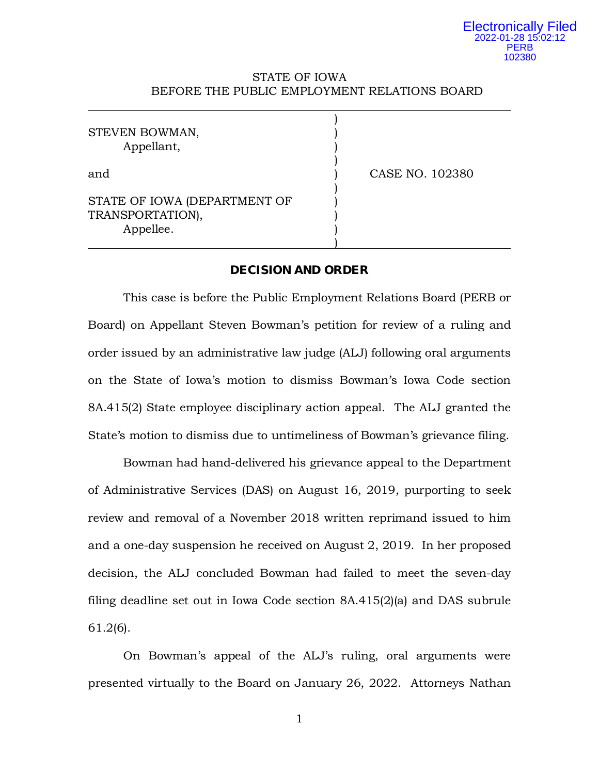### STATE OF IOWA BEFORE THE PUBLIC EMPLOYMENT RELATIONS BOARD

| STEVEN BOWMAN,<br>Appellant,                                  |                 |
|---------------------------------------------------------------|-----------------|
| and                                                           | CASE NO. 102380 |
| STATE OF IOWA (DEPARTMENT OF<br>TRANSPORTATION),<br>Appellee. |                 |

## **DECISION AND ORDER**

This case is before the Public Employment Relations Board (PERB or Board) on Appellant Steven Bowman's petition for review of a ruling and order issued by an administrative law judge (ALJ) following oral arguments on the State of Iowa's motion to dismiss Bowman's Iowa Code section 8A.415(2) State employee disciplinary action appeal. The ALJ granted the State's motion to dismiss due to untimeliness of Bowman's grievance filing.

 Bowman had hand-delivered his grievance appeal to the Department of Administrative Services (DAS) on August 16, 2019, purporting to seek review and removal of a November 2018 written reprimand issued to him and a one-day suspension he received on August 2, 2019. In her proposed decision, the ALJ concluded Bowman had failed to meet the seven-day filing deadline set out in Iowa Code section 8A.415(2)(a) and DAS subrule 61.2(6).

On Bowman's appeal of the ALJ's ruling, oral arguments were presented virtually to the Board on January 26, 2022. Attorneys Nathan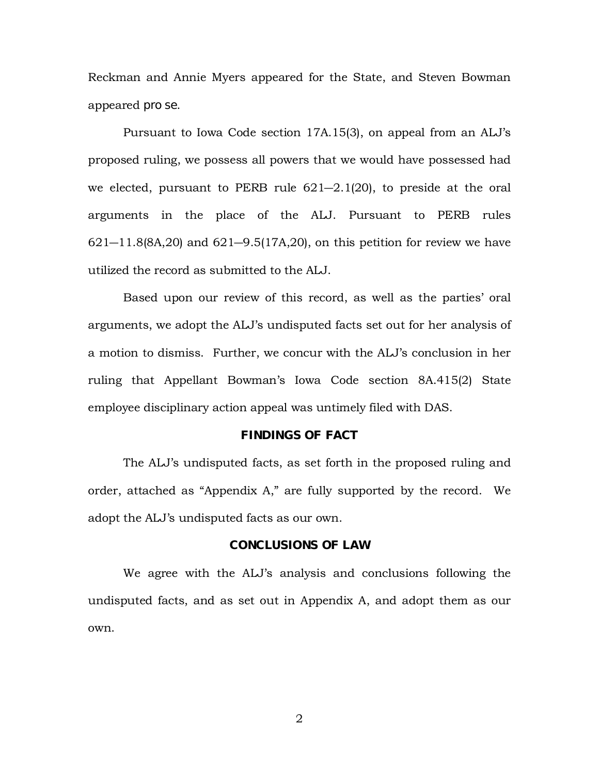Reckman and Annie Myers appeared for the State, and Steven Bowman appeared *pro se*.

Pursuant to Iowa Code section 17A.15(3), on appeal from an ALJ's proposed ruling, we possess all powers that we would have possessed had we elected, pursuant to PERB rule 621―2.1(20), to preside at the oral arguments in the place of the ALJ. Pursuant to PERB rules  $621 - 11.8(8A, 20)$  and  $621 - 9.5(17A, 20)$ , on this petition for review we have utilized the record as submitted to the ALJ.

Based upon our review of this record, as well as the parties' oral arguments, we adopt the ALJ's undisputed facts set out for her analysis of a motion to dismiss. Further, we concur with the ALJ's conclusion in her ruling that Appellant Bowman's Iowa Code section 8A.415(2) State employee disciplinary action appeal was untimely filed with DAS.

### **FINDINGS OF FACT**

The ALJ's undisputed facts, as set forth in the proposed ruling and order, attached as "Appendix A," are fully supported by the record. We adopt the ALJ's undisputed facts as our own.

### **CONCLUSIONS OF LAW**

We agree with the ALJ's analysis and conclusions following the undisputed facts, and as set out in Appendix A, and adopt them as our own.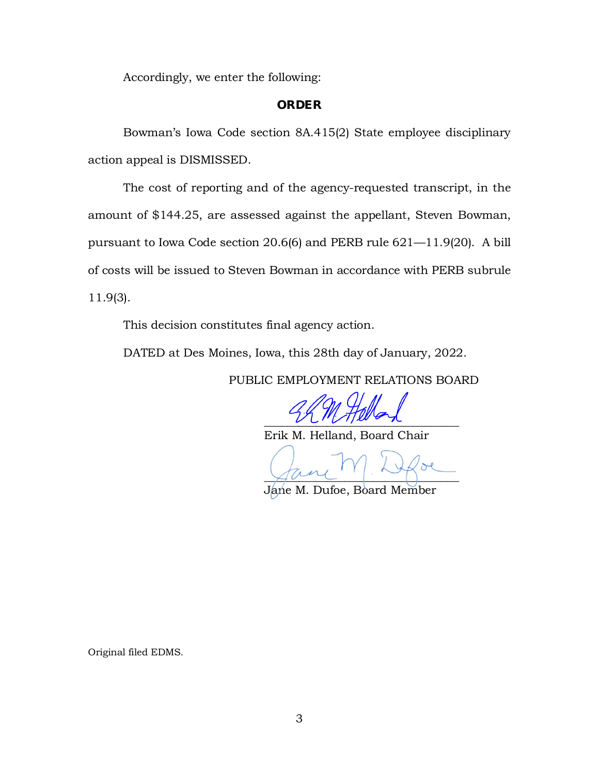Accordingly, we enter the following:

### **ORDER**

Bowman's Iowa Code section 8A.415(2) State employee disciplinary action appeal is DISMISSED.

The cost of reporting and of the agency-requested transcript, in the amount of \$144.25, are assessed against the appellant, Steven Bowman, pursuant to Iowa Code section 20.6(6) and PERB rule 621—11.9(20). A bill of costs will be issued to Steven Bowman in accordance with PERB subrule 11.9(3).

This decision constitutes final agency action.

DATED at Des Moines, Iowa, this 28th day of January, 2022.

PUBLIC EMPLOYMENT RELATIONS BOARD

 $UUVV$ 

Erik M. Helland, Board Chair

 $\varphi$  and  $\vdots$ 

Jane M. Dufoe, Board Member

Original filed EDMS.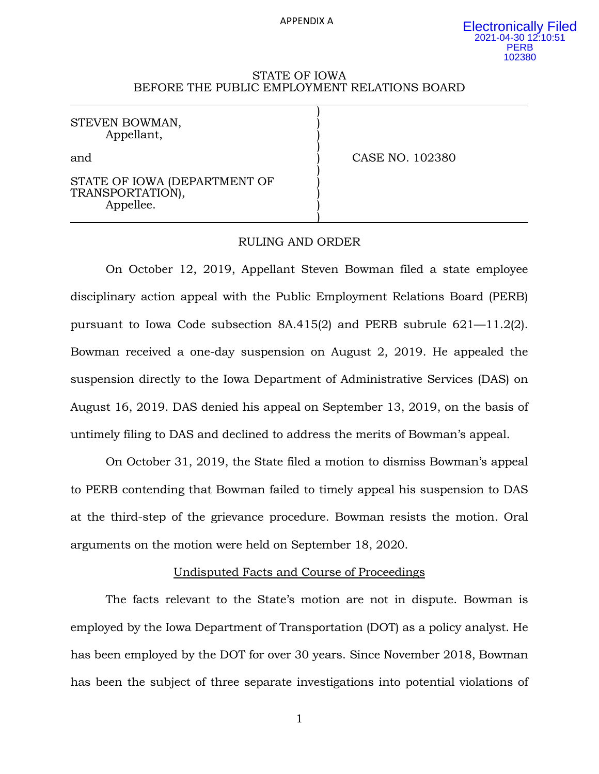APPENDIX A

#### STATE OF IOWA BEFORE THE PUBLIC EMPLOYMENT RELATIONS BOARD

)

)

)

)

STEVEN BOWMAN, Appellant, )

and **)** CASE NO. 102380

STATE OF IOWA (DEPARTMENT OF TRANSPORTATION), Appellee. )

### RULING AND ORDER

On October 12, 2019, Appellant Steven Bowman filed a state employee disciplinary action appeal with the Public Employment Relations Board (PERB) pursuant to Iowa Code subsection 8A.415(2) and PERB subrule 621—11.2(2). Bowman received a one-day suspension on August 2, 2019. He appealed the suspension directly to the Iowa Department of Administrative Services (DAS) on August 16, 2019. DAS denied his appeal on September 13, 2019, on the basis of untimely filing to DAS and declined to address the merits of Bowman's appeal.

On October 31, 2019, the State filed a motion to dismiss Bowman's appeal to PERB contending that Bowman failed to timely appeal his suspension to DAS at the third-step of the grievance procedure. Bowman resists the motion. Oral arguments on the motion were held on September 18, 2020.

## Undisputed Facts and Course of Proceedings

The facts relevant to the State's motion are not in dispute. Bowman is employed by the Iowa Department of Transportation (DOT) as a policy analyst. He has been employed by the DOT for over 30 years. Since November 2018, Bowman has been the subject of three separate investigations into potential violations of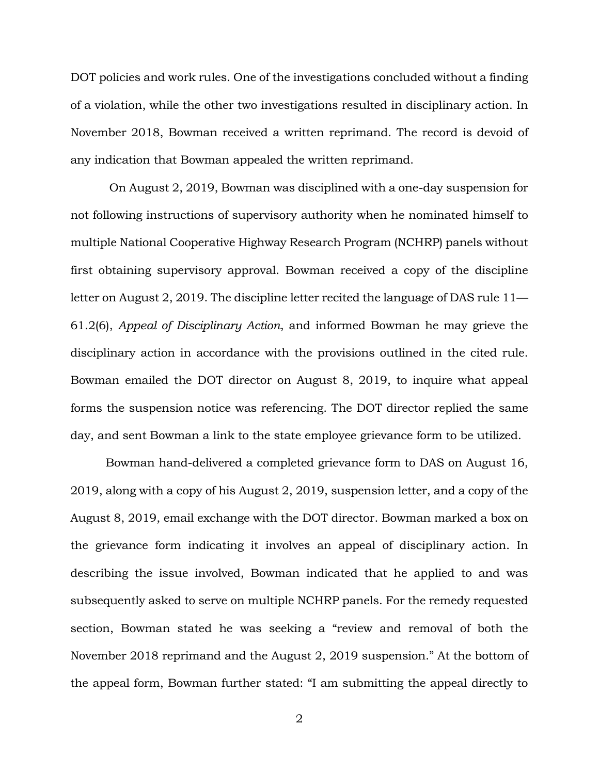DOT policies and work rules. One of the investigations concluded without a finding of a violation, while the other two investigations resulted in disciplinary action. In November 2018, Bowman received a written reprimand. The record is devoid of any indication that Bowman appealed the written reprimand.

On August 2, 2019, Bowman was disciplined with a one-day suspension for not following instructions of supervisory authority when he nominated himself to multiple National Cooperative Highway Research Program (NCHRP) panels without first obtaining supervisory approval. Bowman received a copy of the discipline letter on August 2, 2019. The discipline letter recited the language of DAS rule 11— 61.2(6), *Appeal of Disciplinary Action*, and informed Bowman he may grieve the disciplinary action in accordance with the provisions outlined in the cited rule. Bowman emailed the DOT director on August 8, 2019, to inquire what appeal forms the suspension notice was referencing. The DOT director replied the same day, and sent Bowman a link to the state employee grievance form to be utilized.

Bowman hand-delivered a completed grievance form to DAS on August 16, 2019, along with a copy of his August 2, 2019, suspension letter, and a copy of the August 8, 2019, email exchange with the DOT director. Bowman marked a box on the grievance form indicating it involves an appeal of disciplinary action. In describing the issue involved, Bowman indicated that he applied to and was subsequently asked to serve on multiple NCHRP panels. For the remedy requested section, Bowman stated he was seeking a "review and removal of both the November 2018 reprimand and the August 2, 2019 suspension." At the bottom of the appeal form, Bowman further stated: "I am submitting the appeal directly to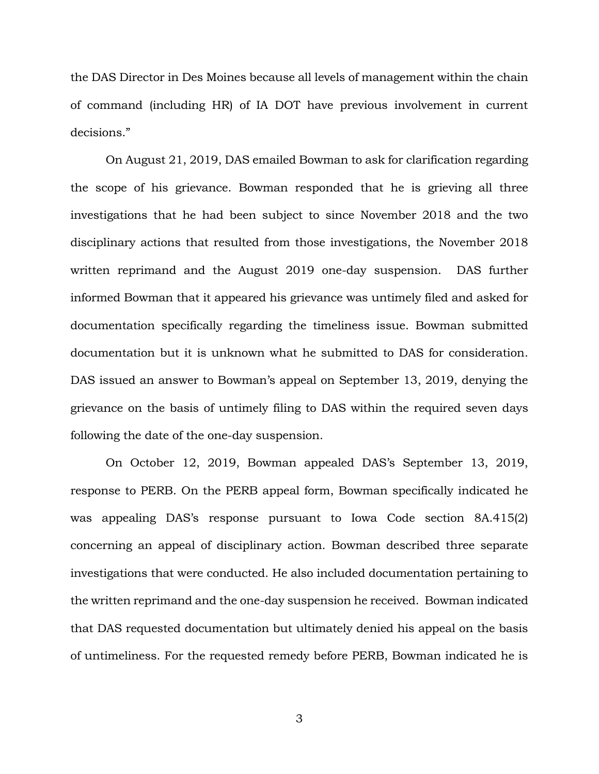the DAS Director in Des Moines because all levels of management within the chain of command (including HR) of IA DOT have previous involvement in current decisions."

On August 21, 2019, DAS emailed Bowman to ask for clarification regarding the scope of his grievance. Bowman responded that he is grieving all three investigations that he had been subject to since November 2018 and the two disciplinary actions that resulted from those investigations, the November 2018 written reprimand and the August 2019 one-day suspension. DAS further informed Bowman that it appeared his grievance was untimely filed and asked for documentation specifically regarding the timeliness issue. Bowman submitted documentation but it is unknown what he submitted to DAS for consideration. DAS issued an answer to Bowman's appeal on September 13, 2019, denying the grievance on the basis of untimely filing to DAS within the required seven days following the date of the one-day suspension.

On October 12, 2019, Bowman appealed DAS's September 13, 2019, response to PERB. On the PERB appeal form, Bowman specifically indicated he was appealing DAS's response pursuant to Iowa Code section 8A.415(2) concerning an appeal of disciplinary action. Bowman described three separate investigations that were conducted. He also included documentation pertaining to the written reprimand and the one-day suspension he received. Bowman indicated that DAS requested documentation but ultimately denied his appeal on the basis of untimeliness. For the requested remedy before PERB, Bowman indicated he is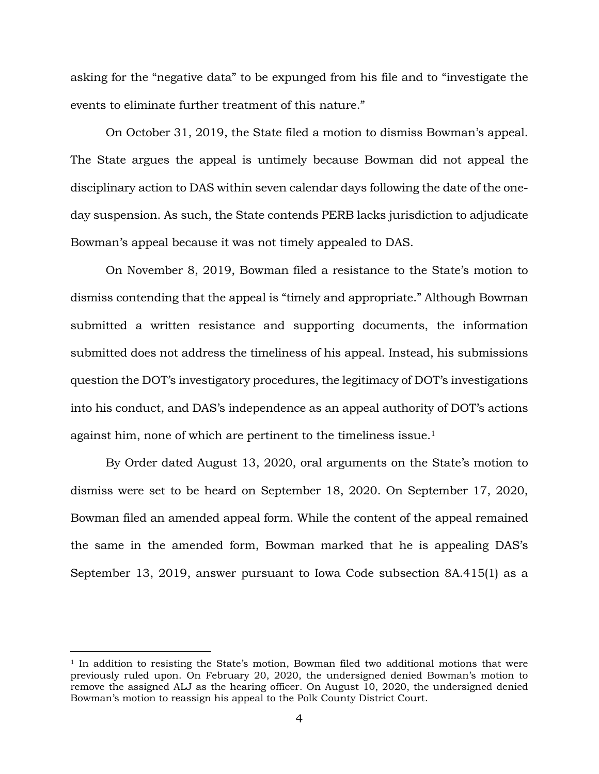asking for the "negative data" to be expunged from his file and to "investigate the events to eliminate further treatment of this nature."

On October 31, 2019, the State filed a motion to dismiss Bowman's appeal. The State argues the appeal is untimely because Bowman did not appeal the disciplinary action to DAS within seven calendar days following the date of the oneday suspension. As such, the State contends PERB lacks jurisdiction to adjudicate Bowman's appeal because it was not timely appealed to DAS.

On November 8, 2019, Bowman filed a resistance to the State's motion to dismiss contending that the appeal is "timely and appropriate." Although Bowman submitted a written resistance and supporting documents, the information submitted does not address the timeliness of his appeal. Instead, his submissions question the DOT's investigatory procedures, the legitimacy of DOT's investigations into his conduct, and DAS's independence as an appeal authority of DOT's actions against him, none of which are pertinent to the timeliness issue. 1

By Order dated August 13, 2020, oral arguments on the State's motion to dismiss were set to be heard on September 18, 2020. On September 17, 2020, Bowman filed an amended appeal form. While the content of the appeal remained the same in the amended form, Bowman marked that he is appealing DAS's September 13, 2019, answer pursuant to Iowa Code subsection 8A.415(1) as a

 $1$  In addition to resisting the State's motion, Bowman filed two additional motions that were previously ruled upon. On February 20, 2020, the undersigned denied Bowman's motion to remove the assigned ALJ as the hearing officer. On August 10, 2020, the undersigned denied Bowman's motion to reassign his appeal to the Polk County District Court.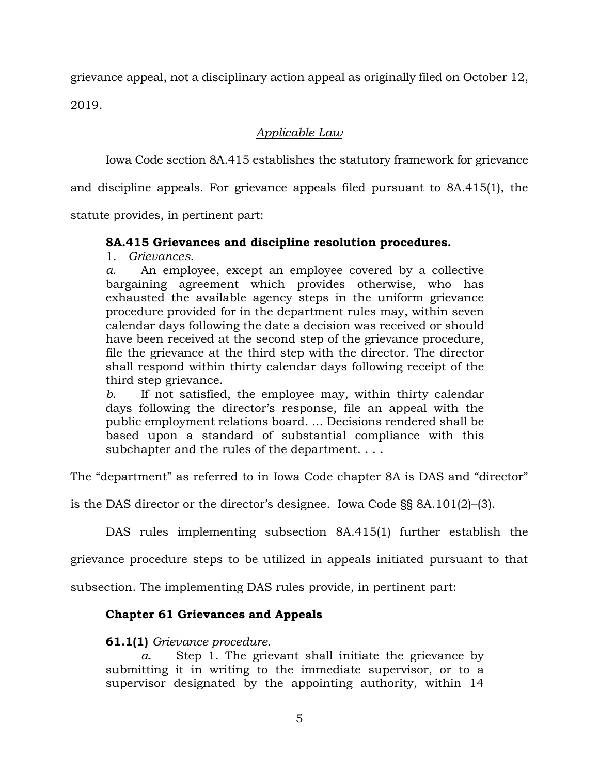grievance appeal, not a disciplinary action appeal as originally filed on October 12, 2019.

# *Applicable Law*

Iowa Code section 8A.415 establishes the statutory framework for grievance

and discipline appeals. For grievance appeals filed pursuant to 8A.415(1), the

statute provides, in pertinent part:

## **8A.415 Grievances and discipline resolution procedures.**

1. *Grievances.* 

*a*. An employee, except an employee covered by a collective bargaining agreement which provides otherwise, who has exhausted the available agency steps in the uniform grievance procedure provided for in the department rules may, within seven calendar days following the date a decision was received or should have been received at the second step of the grievance procedure, file the grievance at the third step with the director. The director shall respond within thirty calendar days following receipt of the third step grievance.

*b*. If not satisfied, the employee may, within thirty calendar days following the director's response, file an appeal with the public employment relations board. ... Decisions rendered shall be based upon a standard of substantial compliance with this subchapter and the rules of the department. . . .

The "department" as referred to in Iowa Code chapter 8A is DAS and "director"

is the DAS director or the director's designee. Iowa Code §§ 8A.101(2)–(3).

DAS rules implementing subsection 8A.415(1) further establish the

grievance procedure steps to be utilized in appeals initiated pursuant to that

subsection. The implementing DAS rules provide, in pertinent part:

# **Chapter 61 Grievances and Appeals**

# **61.1(1)** *Grievance procedure.*

*a.* Step 1. The grievant shall initiate the grievance by submitting it in writing to the immediate supervisor, or to a supervisor designated by the appointing authority, within 14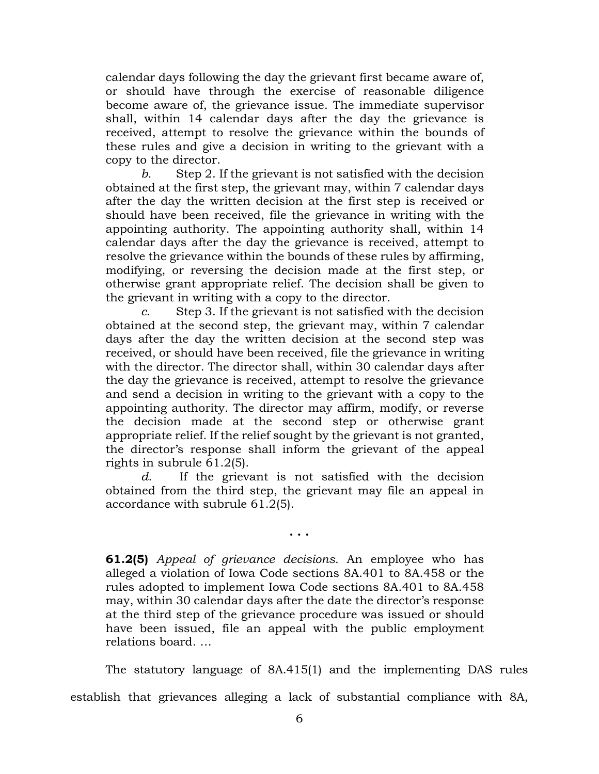calendar days following the day the grievant first became aware of, or should have through the exercise of reasonable diligence become aware of, the grievance issue. The immediate supervisor shall, within 14 calendar days after the day the grievance is received, attempt to resolve the grievance within the bounds of these rules and give a decision in writing to the grievant with a copy to the director.

*b.* Step 2. If the grievant is not satisfied with the decision obtained at the first step, the grievant may, within 7 calendar days after the day the written decision at the first step is received or should have been received, file the grievance in writing with the appointing authority. The appointing authority shall, within 14 calendar days after the day the grievance is received, attempt to resolve the grievance within the bounds of these rules by affirming, modifying, or reversing the decision made at the first step, or otherwise grant appropriate relief. The decision shall be given to the grievant in writing with a copy to the director.

*c.* Step 3. If the grievant is not satisfied with the decision obtained at the second step, the grievant may, within 7 calendar days after the day the written decision at the second step was received, or should have been received, file the grievance in writing with the director. The director shall, within 30 calendar days after the day the grievance is received, attempt to resolve the grievance and send a decision in writing to the grievant with a copy to the appointing authority. The director may affirm, modify, or reverse the decision made at the second step or otherwise grant appropriate relief. If the relief sought by the grievant is not granted, the director's response shall inform the grievant of the appeal rights in subrule 61.2(5).

*d.* If the grievant is not satisfied with the decision obtained from the third step, the grievant may file an appeal in accordance with subrule 61.2(5).

**. . .**

**61.2(5)** *Appeal of grievance decisions.* An employee who has alleged a violation of Iowa Code sections 8A.401 to 8A.458 or the rules adopted to implement Iowa Code sections 8A.401 to 8A.458 may, within 30 calendar days after the date the director's response at the third step of the grievance procedure was issued or should have been issued, file an appeal with the public employment relations board. …

The statutory language of 8A.415(1) and the implementing DAS rules establish that grievances alleging a lack of substantial compliance with 8A,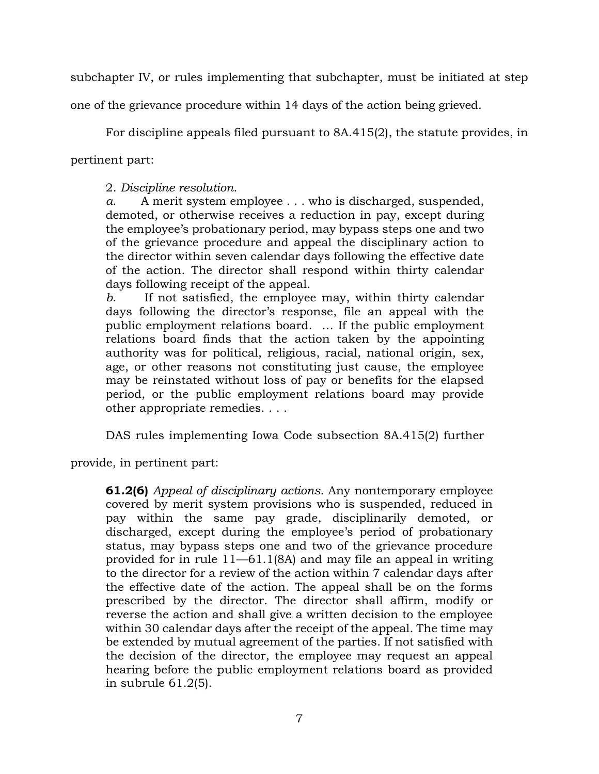subchapter IV, or rules implementing that subchapter, must be initiated at step

one of the grievance procedure within 14 days of the action being grieved.

For discipline appeals filed pursuant to 8A.415(2), the statute provides, in

pertinent part:

2. *Discipline resolution*.

*a*. A merit system employee . . . who is discharged, suspended, demoted, or otherwise receives a reduction in pay, except during the employee's probationary period, may bypass steps one and two of the grievance procedure and appeal the disciplinary action to the director within seven calendar days following the effective date of the action. The director shall respond within thirty calendar days following receipt of the appeal.

*b*. If not satisfied, the employee may, within thirty calendar days following the director's response, file an appeal with the public employment relations board. … If the public employment relations board finds that the action taken by the appointing authority was for political, religious, racial, national origin, sex, age, or other reasons not constituting just cause, the employee may be reinstated without loss of pay or benefits for the elapsed period, or the public employment relations board may provide other appropriate remedies. . . .

DAS rules implementing Iowa Code subsection 8A.415(2) further

provide, in pertinent part:

**61.2(6)** *Appeal of disciplinary actions.* Any nontemporary employee covered by merit system provisions who is suspended, reduced in pay within the same pay grade, disciplinarily demoted, or discharged, except during the employee's period of probationary status, may bypass steps one and two of the grievance procedure provided for in rule 11—61.1(8A) and may file an appeal in writing to the director for a review of the action within 7 calendar days after the effective date of the action. The appeal shall be on the forms prescribed by the director. The director shall affirm, modify or reverse the action and shall give a written decision to the employee within 30 calendar days after the receipt of the appeal. The time may be extended by mutual agreement of the parties. If not satisfied with the decision of the director, the employee may request an appeal hearing before the public employment relations board as provided in subrule 61.2(5).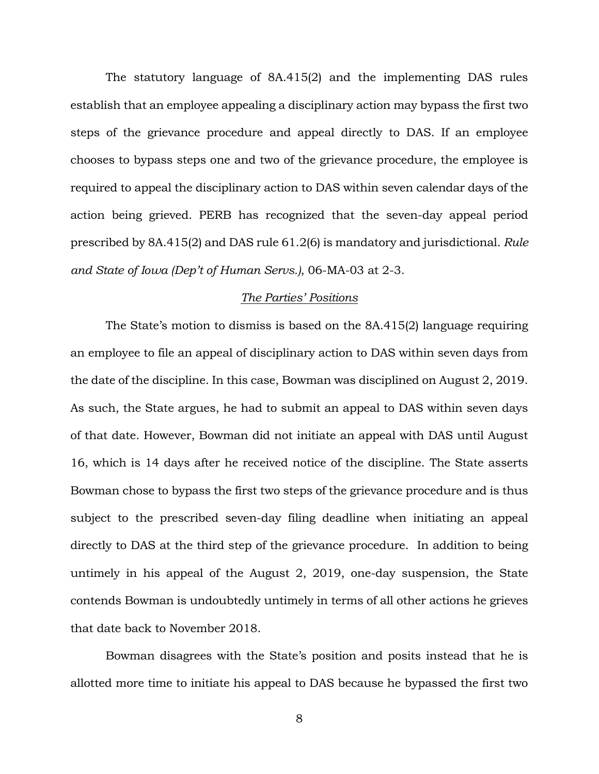The statutory language of 8A.415(2) and the implementing DAS rules establish that an employee appealing a disciplinary action may bypass the first two steps of the grievance procedure and appeal directly to DAS. If an employee chooses to bypass steps one and two of the grievance procedure, the employee is required to appeal the disciplinary action to DAS within seven calendar days of the action being grieved. PERB has recognized that the seven-day appeal period prescribed by 8A.415(2) and DAS rule 61.2(6) is mandatory and jurisdictional. *Rule and State of Iowa (Dep't of Human Servs.)*, 06-MA-03 at 2-3.

## *The Parties' Positions*

The State's motion to dismiss is based on the 8A.415(2) language requiring an employee to file an appeal of disciplinary action to DAS within seven days from the date of the discipline. In this case, Bowman was disciplined on August 2, 2019. As such, the State argues, he had to submit an appeal to DAS within seven days of that date. However, Bowman did not initiate an appeal with DAS until August 16, which is 14 days after he received notice of the discipline. The State asserts Bowman chose to bypass the first two steps of the grievance procedure and is thus subject to the prescribed seven-day filing deadline when initiating an appeal directly to DAS at the third step of the grievance procedure. In addition to being untimely in his appeal of the August 2, 2019, one-day suspension, the State contends Bowman is undoubtedly untimely in terms of all other actions he grieves that date back to November 2018.

Bowman disagrees with the State's position and posits instead that he is allotted more time to initiate his appeal to DAS because he bypassed the first two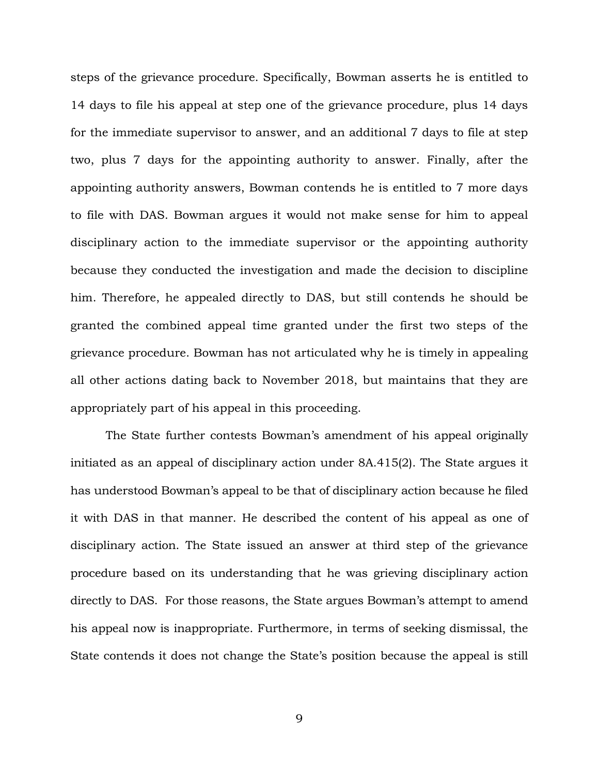steps of the grievance procedure. Specifically, Bowman asserts he is entitled to 14 days to file his appeal at step one of the grievance procedure, plus 14 days for the immediate supervisor to answer, and an additional 7 days to file at step two, plus 7 days for the appointing authority to answer. Finally, after the appointing authority answers, Bowman contends he is entitled to 7 more days to file with DAS. Bowman argues it would not make sense for him to appeal disciplinary action to the immediate supervisor or the appointing authority because they conducted the investigation and made the decision to discipline him. Therefore, he appealed directly to DAS, but still contends he should be granted the combined appeal time granted under the first two steps of the grievance procedure. Bowman has not articulated why he is timely in appealing all other actions dating back to November 2018, but maintains that they are appropriately part of his appeal in this proceeding.

The State further contests Bowman's amendment of his appeal originally initiated as an appeal of disciplinary action under 8A.415(2). The State argues it has understood Bowman's appeal to be that of disciplinary action because he filed it with DAS in that manner. He described the content of his appeal as one of disciplinary action. The State issued an answer at third step of the grievance procedure based on its understanding that he was grieving disciplinary action directly to DAS. For those reasons, the State argues Bowman's attempt to amend his appeal now is inappropriate. Furthermore, in terms of seeking dismissal, the State contends it does not change the State's position because the appeal is still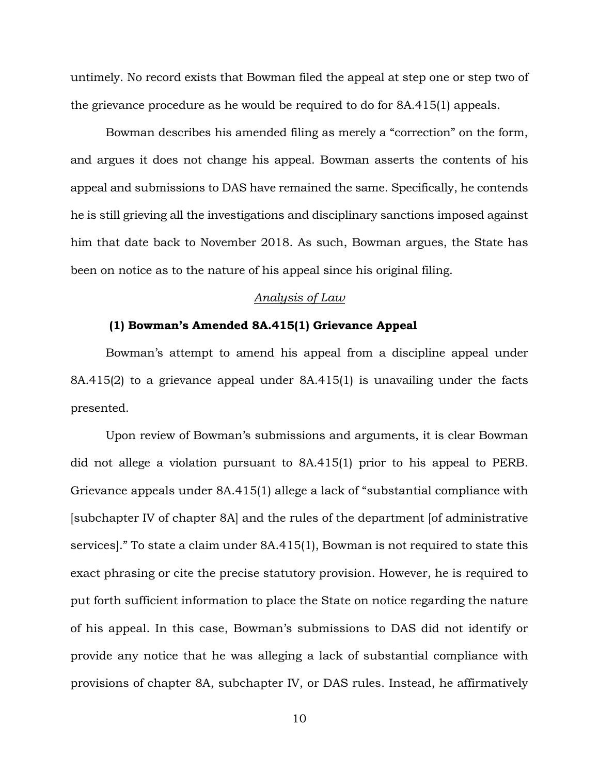untimely. No record exists that Bowman filed the appeal at step one or step two of the grievance procedure as he would be required to do for 8A.415(1) appeals.

Bowman describes his amended filing as merely a "correction" on the form, and argues it does not change his appeal. Bowman asserts the contents of his appeal and submissions to DAS have remained the same. Specifically, he contends he is still grieving all the investigations and disciplinary sanctions imposed against him that date back to November 2018. As such, Bowman argues, the State has been on notice as to the nature of his appeal since his original filing.

### *Analysis of Law*

### **(1) Bowman's Amended 8A.415(1) Grievance Appeal**

Bowman's attempt to amend his appeal from a discipline appeal under 8A.415(2) to a grievance appeal under 8A.415(1) is unavailing under the facts presented.

Upon review of Bowman's submissions and arguments, it is clear Bowman did not allege a violation pursuant to 8A.415(1) prior to his appeal to PERB. Grievance appeals under 8A.415(1) allege a lack of "substantial compliance with [subchapter IV of chapter 8A] and the rules of the department [of administrative services]." To state a claim under 8A.415(1), Bowman is not required to state this exact phrasing or cite the precise statutory provision. However, he is required to put forth sufficient information to place the State on notice regarding the nature of his appeal. In this case, Bowman's submissions to DAS did not identify or provide any notice that he was alleging a lack of substantial compliance with provisions of chapter 8A, subchapter IV, or DAS rules. Instead, he affirmatively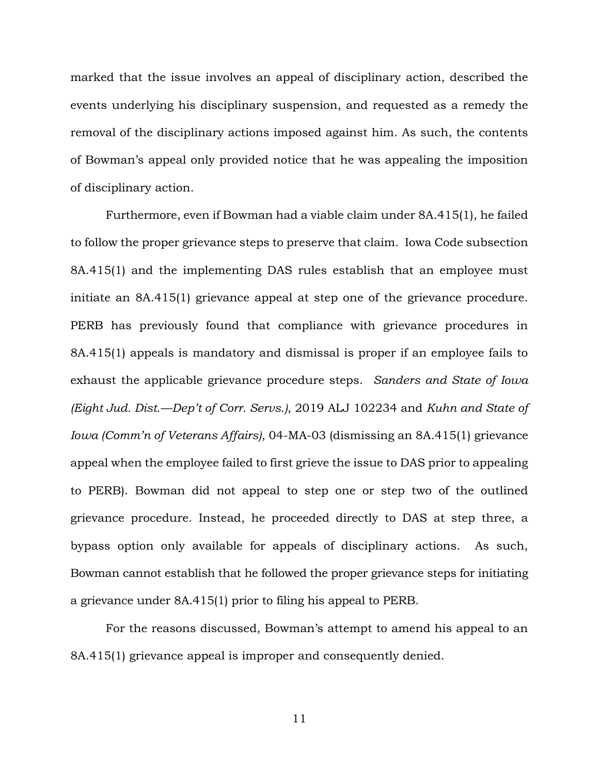marked that the issue involves an appeal of disciplinary action, described the events underlying his disciplinary suspension, and requested as a remedy the removal of the disciplinary actions imposed against him. As such, the contents of Bowman's appeal only provided notice that he was appealing the imposition of disciplinary action.

Furthermore, even if Bowman had a viable claim under 8A.415(1), he failed to follow the proper grievance steps to preserve that claim. Iowa Code subsection 8A.415(1) and the implementing DAS rules establish that an employee must initiate an 8A.415(1) grievance appeal at step one of the grievance procedure. PERB has previously found that compliance with grievance procedures in 8A.415(1) appeals is mandatory and dismissal is proper if an employee fails to exhaust the applicable grievance procedure steps. *Sanders and State of Iowa (Eight Jud. Dist.—Dep't of Corr. Servs.)*, 2019 ALJ 102234 and *Kuhn and State of Iowa (Comm'n of Veterans Affairs)*, 04-MA-03 (dismissing an 8A.415(1) grievance appeal when the employee failed to first grieve the issue to DAS prior to appealing to PERB). Bowman did not appeal to step one or step two of the outlined grievance procedure. Instead, he proceeded directly to DAS at step three, a bypass option only available for appeals of disciplinary actions. As such, Bowman cannot establish that he followed the proper grievance steps for initiating a grievance under 8A.415(1) prior to filing his appeal to PERB.

For the reasons discussed, Bowman's attempt to amend his appeal to an 8A.415(1) grievance appeal is improper and consequently denied.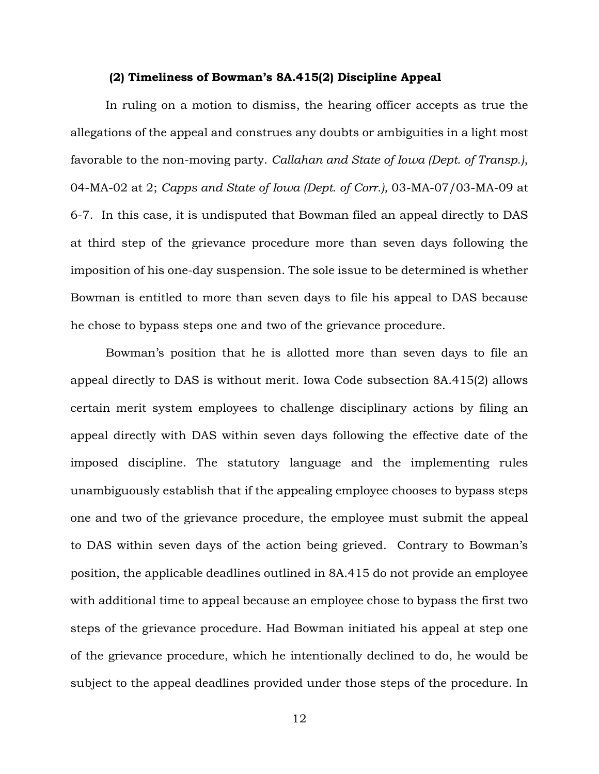#### **(2) Timeliness of Bowman's 8A.415(2) Discipline Appeal**

In ruling on a motion to dismiss, the hearing officer accepts as true the allegations of the appeal and construes any doubts or ambiguities in a light most favorable to the non-moving party. *Callahan and State of Iowa (Dept. of Transp.)*, 04-MA-02 at 2; *Capps and State of Iowa (Dept. of Corr.),* 03-MA-07/03-MA-09 at 6-7. In this case, it is undisputed that Bowman filed an appeal directly to DAS at third step of the grievance procedure more than seven days following the imposition of his one-day suspension. The sole issue to be determined is whether Bowman is entitled to more than seven days to file his appeal to DAS because he chose to bypass steps one and two of the grievance procedure.

Bowman's position that he is allotted more than seven days to file an appeal directly to DAS is without merit. Iowa Code subsection 8A.415(2) allows certain merit system employees to challenge disciplinary actions by filing an appeal directly with DAS within seven days following the effective date of the imposed discipline. The statutory language and the implementing rules unambiguously establish that if the appealing employee chooses to bypass steps one and two of the grievance procedure, the employee must submit the appeal to DAS within seven days of the action being grieved. Contrary to Bowman's position, the applicable deadlines outlined in 8A.415 do not provide an employee with additional time to appeal because an employee chose to bypass the first two steps of the grievance procedure. Had Bowman initiated his appeal at step one of the grievance procedure, which he intentionally declined to do, he would be subject to the appeal deadlines provided under those steps of the procedure. In